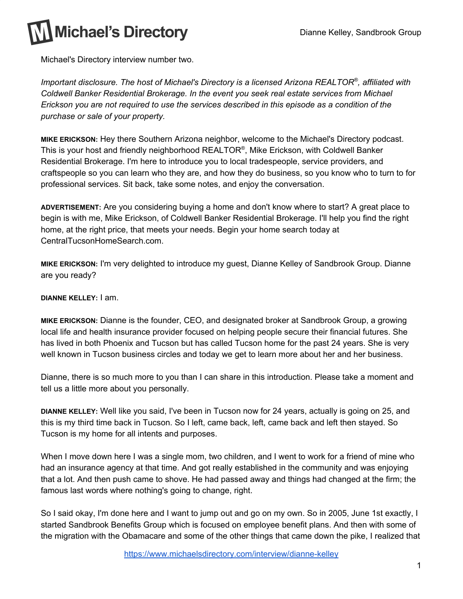Michael's Directory interview number two.

*Important disclosure. The host of Michael's Directory is a licensed Arizona REALTOR ® , affiliated with Coldwell Banker Residential Brokerage. In the event you seek real estate services from Michael Erickson you are not required to use the services described in this episode as a condition of the purchase or sale of your property.*

**MIKE ERICKSON:** Hey there Southern Arizona neighbor, welcome to the Michael's Directory podcast. This is your host and friendly neighborhood REALTOR®, Mike Erickson, with Coldwell Banker Residential Brokerage. I'm here to introduce you to local tradespeople, service providers, and craftspeople so you can learn who they are, and how they do business, so you know who to turn to for professional services. Sit back, take some notes, and enjoy the conversation.

**ADVERTISEMENT:** Are you considering buying a home and don't know where to start? A great place to begin is with me, Mike Erickson, of Coldwell Banker Residential Brokerage. I'll help you find the right home, at the right price, that meets your needs. Begin your home search today at CentralTucsonHomeSearch.com.

**MIKE ERICKSON:** I'm very delighted to introduce my guest, Dianne Kelley of Sandbrook Group. Dianne are you ready?

## **DIANNE KELLEY:** I am.

**MIKE ERICKSON:** Dianne is the founder, CEO, and designated broker at Sandbrook Group, a growing local life and health insurance provider focused on helping people secure their financial futures. She has lived in both Phoenix and Tucson but has called Tucson home for the past 24 years. She is very well known in Tucson business circles and today we get to learn more about her and her business.

Dianne, there is so much more to you than I can share in this introduction. Please take a moment and tell us a little more about you personally.

**DIANNE KELLEY:** Well like you said, I've been in Tucson now for 24 years, actually is going on 25, and this is my third time back in Tucson. So I left, came back, left, came back and left then stayed. So Tucson is my home for all intents and purposes.

When I move down here I was a single mom, two children, and I went to work for a friend of mine who had an insurance agency at that time. And got really established in the community and was enjoying that a lot. And then push came to shove. He had passed away and things had changed at the firm; the famous last words where nothing's going to change, right.

So I said okay, I'm done here and I want to jump out and go on my own. So in 2005, June 1st exactly, I started Sandbrook Benefits Group which is focused on employee benefit plans. And then with some of the migration with the Obamacare and some of the other things that came down the pike, I realized that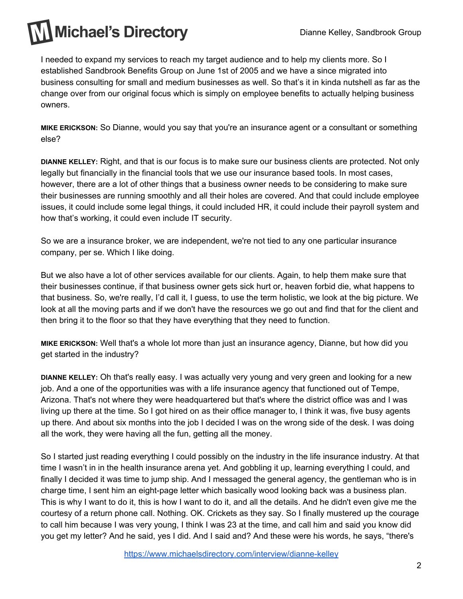I needed to expand my services to reach my target audience and to help my clients more. So I established Sandbrook Benefits Group on June 1st of 2005 and we have a since migrated into business consulting for small and medium businesses as well. So that's it in kinda nutshell as far as the change over from our original focus which is simply on employee benefits to actually helping business owners.

**MIKE ERICKSON:** So Dianne, would you say that you're an insurance agent or a consultant or something else?

**DIANNE KELLEY:** Right, and that is our focus is to make sure our business clients are protected. Not only legally but financially in the financial tools that we use our insurance based tools. In most cases, however, there are a lot of other things that a business owner needs to be considering to make sure their businesses are running smoothly and all their holes are covered. And that could include employee issues, it could include some legal things, it could included HR, it could include their payroll system and how that's working, it could even include IT security.

So we are a insurance broker, we are independent, we're not tied to any one particular insurance company, per se. Which I like doing.

But we also have a lot of other services available for our clients. Again, to help them make sure that their businesses continue, if that business owner gets sick hurt or, heaven forbid die, what happens to that business. So, we're really, I'd call it, I guess, to use the term holistic, we look at the big picture. We look at all the moving parts and if we don't have the resources we go out and find that for the client and then bring it to the floor so that they have everything that they need to function.

**MIKE ERICKSON:** Well that's a whole lot more than just an insurance agency, Dianne, but how did you get started in the industry?

**DIANNE KELLEY:** Oh that's really easy. I was actually very young and very green and looking for a new job. And a one of the opportunities was with a life insurance agency that functioned out of Tempe, Arizona. That's not where they were headquartered but that's where the district office was and I was living up there at the time. So I got hired on as their office manager to, I think it was, five busy agents up there. And about six months into the job I decided I was on the wrong side of the desk. I was doing all the work, they were having all the fun, getting all the money.

So I started just reading everything I could possibly on the industry in the life insurance industry. At that time I wasn't in in the health insurance arena yet. And gobbling it up, learning everything I could, and finally I decided it was time to jump ship. And I messaged the general agency, the gentleman who is in charge time, I sent him an eight-page letter which basically wood looking back was a business plan. This is why I want to do it, this is how I want to do it, and all the details. And he didn't even give me the courtesy of a return phone call. Nothing. OK. Crickets as they say. So I finally mustered up the courage to call him because I was very young, I think I was 23 at the time, and call him and said you know did you get my letter? And he said, yes I did. And I said and? And these were his words, he says, "there's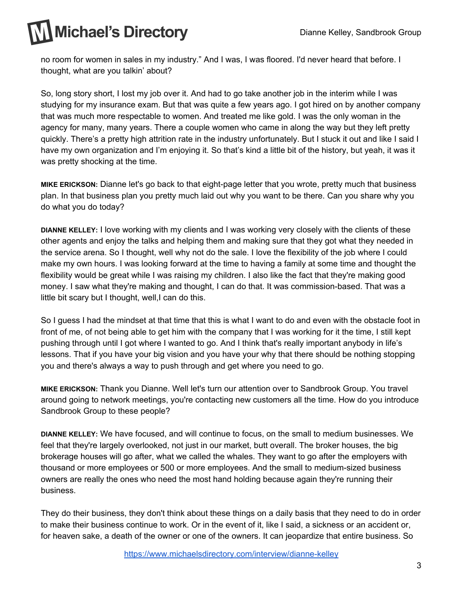no room for women in sales in my industry." And I was, I was floored. I'd never heard that before. I thought, what are you talkin' about?

So, long story short, I lost my job over it. And had to go take another job in the interim while I was studying for my insurance exam. But that was quite a few years ago. I got hired on by another company that was much more respectable to women. And treated me like gold. I was the only woman in the agency for many, many years. There a couple women who came in along the way but they left pretty quickly. There's a pretty high attrition rate in the industry unfortunately. But I stuck it out and like I said I have my own organization and I'm enjoying it. So that's kind a little bit of the history, but yeah, it was it was pretty shocking at the time.

**MIKE ERICKSON:** Dianne let's go back to that eight-page letter that you wrote, pretty much that business plan. In that business plan you pretty much laid out why you want to be there. Can you share why you do what you do today?

**DIANNE KELLEY:** I love working with my clients and I was working very closely with the clients of these other agents and enjoy the talks and helping them and making sure that they got what they needed in the service arena. So I thought, well why not do the sale. I love the flexibility of the job where I could make my own hours. I was looking forward at the time to having a family at some time and thought the flexibility would be great while I was raising my children. I also like the fact that they're making good money. I saw what they're making and thought, I can do that. It was commission-based. That was a little bit scary but I thought, well, I can do this.

So I guess I had the mindset at that time that this is what I want to do and even with the obstacle foot in front of me, of not being able to get him with the company that I was working for it the time, I still kept pushing through until I got where I wanted to go. And I think that's really important anybody in life's lessons. That if you have your big vision and you have your why that there should be nothing stopping you and there's always a way to push through and get where you need to go.

**MIKE ERICKSON:** Thank you Dianne. Well let's turn our attention over to Sandbrook Group. You travel around going to network meetings, you're contacting new customers all the time. How do you introduce Sandbrook Group to these people?

**DIANNE KELLEY:** We have focused, and will continue to focus, on the small to medium businesses. We feel that they're largely overlooked, not just in our market, butt overall. The broker houses, the big brokerage houses will go after, what we called the whales. They want to go after the employers with thousand or more employees or 500 or more employees. And the small to medium-sized business owners are really the ones who need the most hand holding because again they're running their business.

They do their business, they don't think about these things on a daily basis that they need to do in order to make their business continue to work. Or in the event of it, like I said, a sickness or an accident or, for heaven sake, a death of the owner or one of the owners. It can jeopardize that entire business. So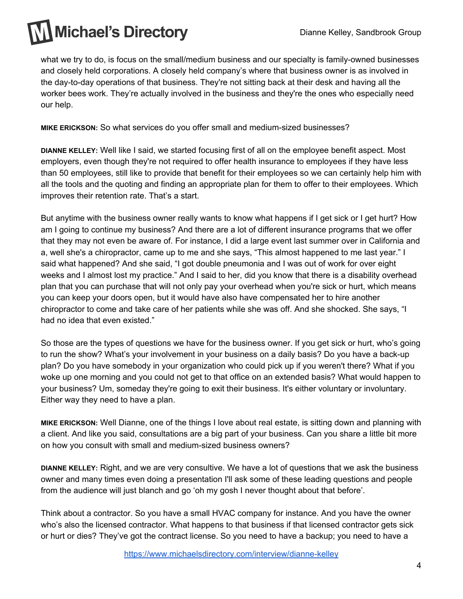what we try to do, is focus on the small/medium business and our specialty is family-owned businesses and closely held corporations. A closely held company's where that business owner is as involved in the day-to-day operations of that business. They're not sitting back at their desk and having all the worker bees work. They're actually involved in the business and they're the ones who especially need our help.

**MIKE ERICKSON:** So what services do you offer small and medium-sized businesses?

**DIANNE KELLEY:** Well like I said, we started focusing first of all on the employee benefit aspect. Most employers, even though they're not required to offer health insurance to employees if they have less than 50 employees, still like to provide that benefit for their employees so we can certainly help him with all the tools and the quoting and finding an appropriate plan for them to offer to their employees. Which improves their retention rate. That's a start.

But anytime with the business owner really wants to know what happens if I get sick or I get hurt? How am I going to continue my business? And there are a lot of different insurance programs that we offer that they may not even be aware of. For instance, I did a large event last summer over in California and a, well she's a chiropractor, came up to me and she says, "This almost happened to me last year." I said what happened? And she said, "I got double pneumonia and I was out of work for over eight weeks and I almost lost my practice." And I said to her, did you know that there is a disability overhead plan that you can purchase that will not only pay your overhead when you're sick or hurt, which means you can keep your doors open, but it would have also have compensated her to hire another chiropractor to come and take care of her patients while she was off. And she shocked. She says, "I had no idea that even existed."

So those are the types of questions we have for the business owner. If you get sick or hurt, who's going to run the show? What's your involvement in your business on a daily basis? Do you have a back-up plan? Do you have somebody in your organization who could pick up if you weren't there? What if you woke up one morning and you could not get to that office on an extended basis? What would happen to your business? Um, someday they're going to exit their business. It's either voluntary or involuntary. Either way they need to have a plan.

**MIKE ERICKSON:** Well Dianne, one of the things I love about real estate, is sitting down and planning with a client. And like you said, consultations are a big part of your business. Can you share a little bit more on how you consult with small and medium-sized business owners?

**DIANNE KELLEY:** Right, and we are very consultive. We have a lot of questions that we ask the business owner and many times even doing a presentation I'll ask some of these leading questions and people from the audience will just blanch and go 'oh my gosh I never thought about that before'.

Think about a contractor. So you have a small HVAC company for instance. And you have the owner who's also the licensed contractor. What happens to that business if that licensed contractor gets sick or hurt or dies? They've got the contract license. So you need to have a backup; you need to have a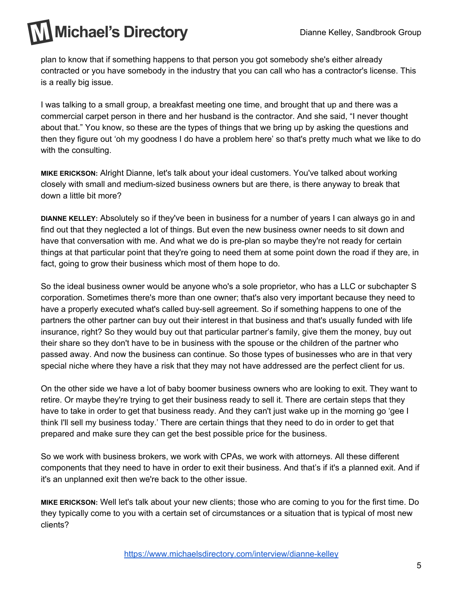plan to know that if something happens to that person you got somebody she's either already contracted or you have somebody in the industry that you can call who has a contractor's license. This is a really big issue.

I was talking to a small group, a breakfast meeting one time, and brought that up and there was a commercial carpet person in there and her husband is the contractor. And she said, "I never thought about that." You know, so these are the types of things that we bring up by asking the questions and then they figure out 'oh my goodness I do have a problem here' so that's pretty much what we like to do with the consulting.

**MIKE ERICKSON:** Alright Dianne, let's talk about your ideal customers. You've talked about working closely with small and medium-sized business owners but are there, is there anyway to break that down a little bit more?

**DIANNE KELLEY:** Absolutely so if they've been in business for a number of years I can always go in and find out that they neglected a lot of things. But even the new business owner needs to sit down and have that conversation with me. And what we do is pre-plan so maybe they're not ready for certain things at that particular point that they're going to need them at some point down the road if they are, in fact, going to grow their business which most of them hope to do.

So the ideal business owner would be anyone who's a sole proprietor, who has a LLC or subchapter S corporation. Sometimes there's more than one owner; that's also very important because they need to have a properly executed what's called buy-sell agreement. So if something happens to one of the partners the other partner can buy out their interest in that business and that's usually funded with life insurance, right? So they would buy out that particular partner's family, give them the money, buy out their share so they don't have to be in business with the spouse or the children of the partner who passed away. And now the business can continue. So those types of businesses who are in that very special niche where they have a risk that they may not have addressed are the perfect client for us.

On the other side we have a lot of baby boomer business owners who are looking to exit. They want to retire. Or maybe they're trying to get their business ready to sell it. There are certain steps that they have to take in order to get that business ready. And they can't just wake up in the morning go 'gee I think I'll sell my business today.' There are certain things that they need to do in order to get that prepared and make sure they can get the best possible price for the business.

So we work with business brokers, we work with CPAs, we work with attorneys. All these different components that they need to have in order to exit their business. And that's if it's a planned exit. And if it's an unplanned exit then we're back to the other issue.

**MIKE ERICKSON:** Well let's talk about your new clients; those who are coming to you for the first time. Do they typically come to you with a certain set of circumstances or a situation that is typical of most new clients?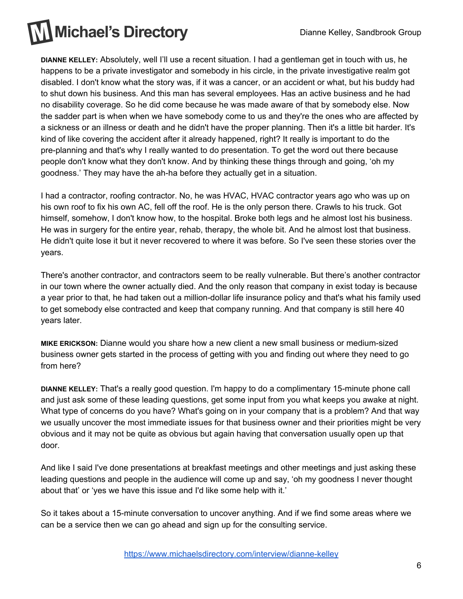

**DIANNE KELLEY:** Absolutely, well I'll use a recent situation. I had a gentleman get in touch with us, he happens to be a private investigator and somebody in his circle, in the private investigative realm got disabled. I don't know what the story was, if it was a cancer, or an accident or what, but his buddy had to shut down his business. And this man has several employees. Has an active business and he had no disability coverage. So he did come because he was made aware of that by somebody else. Now the sadder part is when when we have somebody come to us and they're the ones who are affected by a sickness or an illness or death and he didn't have the proper planning. Then it's a little bit harder. It's kind of like covering the accident after it already happened, right? It really is important to do the pre-planning and that's why I really wanted to do presentation. To get the word out there because people don't know what they don't know. And by thinking these things through and going, 'oh my goodness.' They may have the ah-ha before they actually get in a situation.

I had a contractor, roofing contractor. No, he was HVAC, HVAC contractor years ago who was up on his own roof to fix his own AC, fell off the roof. He is the only person there. Crawls to his truck. Got himself, somehow, I don't know how, to the hospital. Broke both legs and he almost lost his business. He was in surgery for the entire year, rehab, therapy, the whole bit. And he almost lost that business. He didn't quite lose it but it never recovered to where it was before. So I've seen these stories over the years.

There's another contractor, and contractors seem to be really vulnerable. But there's another contractor in our town where the owner actually died. And the only reason that company in exist today is because a year prior to that, he had taken out a million-dollar life insurance policy and that's what his family used to get somebody else contracted and keep that company running. And that company is still here 40 years later.

**MIKE ERICKSON:** Dianne would you share how a new client a new small business or medium-sized business owner gets started in the process of getting with you and finding out where they need to go from here?

**DIANNE KELLEY:** That's a really good question. I'm happy to do a complimentary 15-minute phone call and just ask some of these leading questions, get some input from you what keeps you awake at night. What type of concerns do you have? What's going on in your company that is a problem? And that way we usually uncover the most immediate issues for that business owner and their priorities might be very obvious and it may not be quite as obvious but again having that conversation usually open up that door.

And like I said I've done presentations at breakfast meetings and other meetings and just asking these leading questions and people in the audience will come up and say, 'oh my goodness I never thought about that' or 'yes we have this issue and I'd like some help with it.'

So it takes about a 15-minute conversation to uncover anything. And if we find some areas where we can be a service then we can go ahead and sign up for the consulting service.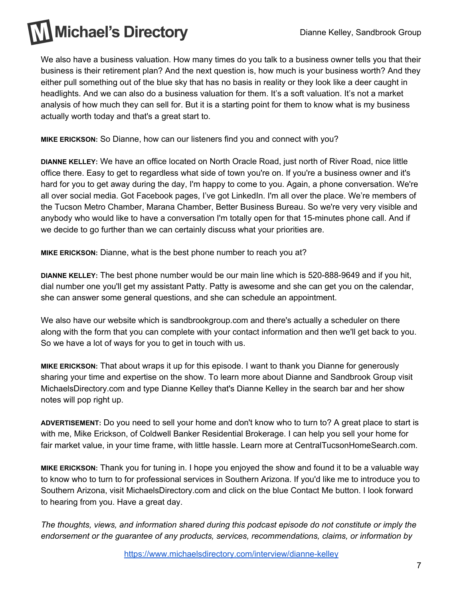We also have a business valuation. How many times do you talk to a business owner tells you that their business is their retirement plan? And the next question is, how much is your business worth? And they either pull something out of the blue sky that has no basis in reality or they look like a deer caught in headlights. And we can also do a business valuation for them. It's a soft valuation. It's not a market analysis of how much they can sell for. But it is a starting point for them to know what is my business actually worth today and that's a great start to.

**MIKE ERICKSON:** So Dianne, how can our listeners find you and connect with you?

**DIANNE KELLEY:** We have an office located on North Oracle Road, just north of River Road, nice little office there. Easy to get to regardless what side of town you're on. If you're a business owner and it's hard for you to get away during the day, I'm happy to come to you. Again, a phone conversation. We're all over social media. Got Facebook pages, I've got LinkedIn. I'm all over the place. We're members of the Tucson Metro Chamber, Marana Chamber, Better Business Bureau. So we're very very visible and anybody who would like to have a conversation I'm totally open for that 15-minutes phone call. And if we decide to go further than we can certainly discuss what your priorities are.

**MIKE ERICKSON:** Dianne, what is the best phone number to reach you at?

**DIANNE KELLEY:** The best phone number would be our main line which is 520-888-9649 and if you hit, dial number one you'll get my assistant Patty. Patty is awesome and she can get you on the calendar, she can answer some general questions, and she can schedule an appointment.

We also have our website which is sandbrookgroup.com and there's actually a scheduler on there along with the form that you can complete with your contact information and then we'll get back to you. So we have a lot of ways for you to get in touch with us.

**MIKE ERICKSON:** That about wraps it up for this episode. I want to thank you Dianne for generously sharing your time and expertise on the show. To learn more about Dianne and Sandbrook Group visit MichaelsDirectory.com and type Dianne Kelley that's Dianne Kelley in the search bar and her show notes will pop right up.

**ADVERTISEMENT:** Do you need to sell your home and don't know who to turn to? A great place to start is with me, Mike Erickson, of Coldwell Banker Residential Brokerage. I can help you sell your home for fair market value, in your time frame, with little hassle. Learn more at CentralTucsonHomeSearch.com.

**MIKE ERICKSON:** Thank you for tuning in. I hope you enjoyed the show and found it to be a valuable way to know who to turn to for professional services in Southern Arizona. If you'd like me to introduce you to Southern Arizona, visit MichaelsDirectory.com and click on the blue Contact Me button. I look forward to hearing from you. Have a great day.

*The thoughts, views, and information shared during this podcast episode do not constitute or imply the endorsement or the guarantee of any products, services, recommendations, claims, or information by*

<https://www.michaelsdirectory.com/interview/dianne-kelley>